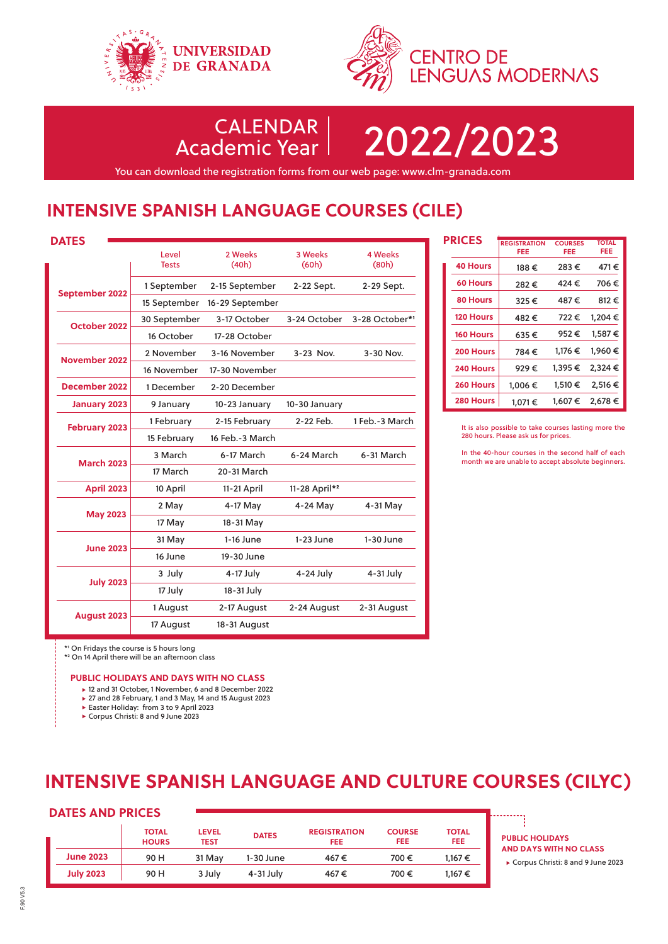



CALENDAR

Academic Year 2022/2023

You can download the registration forms from our web page: www.clm-granada.com

## **INTENSIVE SPANISH LANGUAGE COURSES (CILE)**

| <b>DATES</b>         |                       |                  |                  |                         |
|----------------------|-----------------------|------------------|------------------|-------------------------|
|                      | Level<br><b>Tests</b> | 2 Weeks<br>(40h) | 3 Weeks<br>(60h) | <b>4 Weeks</b><br>(80h) |
| September 2022       | 1 September           | 2-15 September   | 2-22 Sept.       | 2-29 Sept.              |
|                      | 15 September          | 16-29 September  |                  |                         |
| October 2022         | 30 September          | 3-17 October     | 3-24 October     | 3-28 October*1          |
|                      | 16 October            | 17-28 October    |                  |                         |
| November 2022        | 2 November            | 3-16 November    | 3-23 Nov.        | 3-30 Nov.               |
|                      | 16 November           | 17-30 November   |                  |                         |
| December 2022        | 1 December            | 2-20 December    |                  |                         |
| <b>January 2023</b>  | 9 January             | 10-23 January    | 10-30 January    |                         |
| <b>February 2023</b> | 1 February            | 2-15 February    | 2-22 Feb.        | 1 Feb.-3 March          |
|                      | 15 February           | 16 Feb.-3 March  |                  |                         |
| <b>March 2023</b>    | 3 March               | 6-17 March       | 6-24 March       | 6-31 March              |
|                      | 17 March              | 20-31 March      |                  |                         |
| <b>April 2023</b>    | 10 April              | 11-21 April      | 11-28 April*2    |                         |
| <b>May 2023</b>      | 2 May                 | 4-17 May         | 4-24 May         | 4-31 May                |
|                      | 17 May                | 18-31 May        |                  |                         |
| <b>June 2023</b>     | 31 May                | $1-16$ June      | $1-23$ June      | $1-30$ June             |
|                      | 16 June               | 19-30 June       |                  |                         |
| <b>July 2023</b>     | 3 July                | $4-17$ July      | 4-24 July        | 4-31 July               |
|                      | 17 July               | 18-31 July       |                  |                         |
| <b>August 2023</b>   | 1 August              | 2-17 August      | 2-24 August      | 2-31 August             |
|                      | 17 August             | 18-31 August     |                  |                         |

|  | <b>PRICES</b>    | <b>REGISTRATION</b> | <b>COURSES</b> | <b>TOTAL</b> |
|--|------------------|---------------------|----------------|--------------|
|  |                  | FEE                 | FEE            | FEE          |
|  | <b>40 Hours</b>  | 188€                | 283€           | 471€         |
|  | <b>60 Hours</b>  | 282€                | 424€           | 706€         |
|  | 80 Hours         | 325€                | 487€           | 812€         |
|  | <b>120 Hours</b> | 482€                | 722€           | 1.204€       |
|  | <b>160 Hours</b> | 635€                | 952€           | 1.587€       |
|  | 200 Hours        | 784€                | 1.176 €        | 1.960€       |
|  | 240 Hours        | 929€                | 1.395€         | 2.324 €      |
|  | 260 Hours        | 1.006€              | 1,510€         | 2,516 €      |
|  | 280 Hours        | 1.071 €             | 1,607€         | 2,678 €      |

It is also possible to take courses lasting more the 280 hours. Please ask us for prices.

In the 40-hour courses in the second half of each month we are unable to accept absolute beginners.

\*1 On Fridays the course is 5 hours long

\*2 On 14 April there will be an afternoon class

#### **PUBLIC HOLIDAYS AND DAYS WITH NO CLASS**

- ▶ 12 and 31 October, 1 November, 6 and 8 December 2022
- ▶ 27 and 28 February, 1 and 3 May, 14 and 15 August 2023
- ▶ Easter Holiday: from 3 to 9 April 2023
- Corpus Christi: 8 and 9 June 2023

# **INTENSIVE SPANISH LANGUAGE AND CULTURE COURSES (CILYC)**

### **DATES AND PRICES**

|                  | <b>TOTAL</b><br><b>HOURS</b> | <b>LEVEL</b><br><b>TEST</b> | <b>DATES</b> | <b>REGISTRATION</b><br><b>FEE</b> | <b>COURSE</b><br><b>FEE</b> | <b>TOTAL</b><br>FEE. |
|------------------|------------------------------|-----------------------------|--------------|-----------------------------------|-----------------------------|----------------------|
| <b>June 2023</b> | 90 H                         | 31 May                      | 1-30 June    | 467€                              | 700€                        | 1.167 €              |
| <b>July 2023</b> | 90 H                         | 3 July                      | 4-31 July    | 467€                              | 700€                        | 1.167€               |

**PUBLIC HOLIDAYS AND DAYS WITH NO CLASS**

Corpus Christi: 8 and 9 June 2023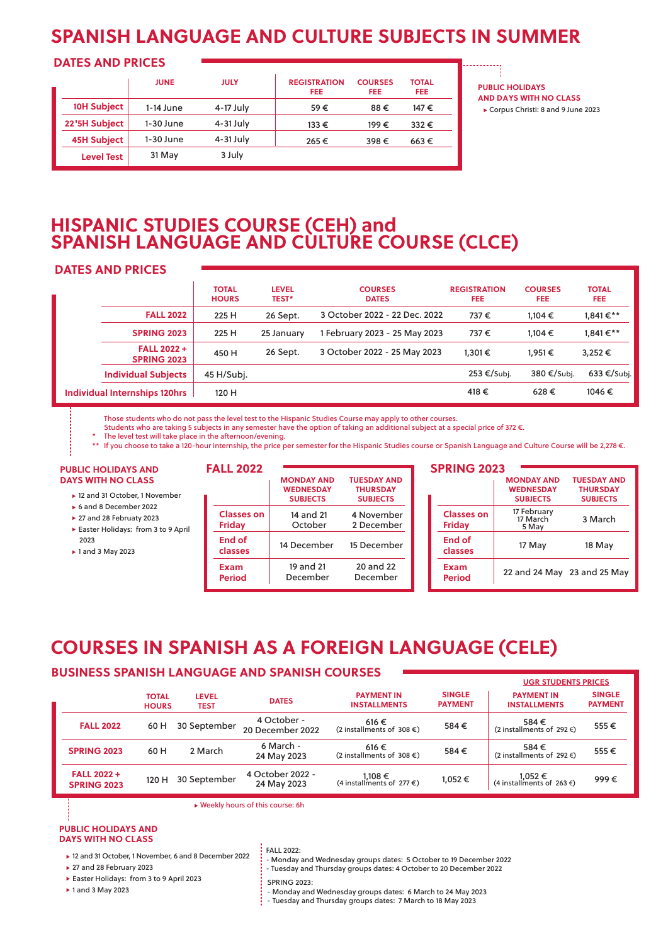## **SPANISH LANGUAGE AND CULTURE SUBJECTS IN SUMMER**

### **DATES AND PRICES**

|                    | <b>JUNE</b> | <b>JULY</b> | <b>REGISTRATION</b><br>FEE | <b>COURSES</b><br><b>FEE</b> | <b>TOTAL</b><br><b>FEE</b> |
|--------------------|-------------|-------------|----------------------------|------------------------------|----------------------------|
| 10H Subject        | 1-14 June   | 4-17 July   | 59€                        | 88€                          | 147€                       |
| 22'5H Subject      | 1-30 June   | 4-31 July   | 133€                       | 199€                         | $332 \in$                  |
| <b>45H Subject</b> | 1-30 June   | 4-31 July   | 265€                       | 398€                         | $663 \in$                  |
| <b>Level Test</b>  | 31 May      | 3 July      |                            |                              |                            |

**PUBLIC HOLIDAYS AND DAYS WITH NO CLASS** Corpus Christi: 8 and 9 June 2023

### **HISPANIC STUDIES COURSE (CEH) and SPANISH LANGUAGE AND CULTURE COURSE (CLCE)**

### **DATES AND PRICES**

|                                         | <b>TOTAL</b><br><b>HOURS</b> | <b>LEVEL</b><br><b>TEST*</b> | <b>COURSES</b><br><b>DATES</b> | <b>REGISTRATION</b><br>FEE. | <b>COURSES</b><br><b>FEE</b> | <b>TOTAL</b><br>FEE. |
|-----------------------------------------|------------------------------|------------------------------|--------------------------------|-----------------------------|------------------------------|----------------------|
| <b>FALL 2022</b>                        | 225 H                        | 26 Sept.                     | 3 October 2022 - 22 Dec. 2022  | 737€                        | $1.104 \in$                  | 1,841€**             |
| <b>SPRING 2023</b>                      | 225 H                        | 25 January                   | 1 February 2023 - 25 May 2023  | 737€                        | $1.104 \in$                  | 1,841€**             |
| <b>FALL 2022+</b><br><b>SPRING 2023</b> | 450 H                        | 26 Sept.                     | 3 October 2022 - 25 May 2023   | $1.301 \in$                 | 1.951 €                      | 3,252€               |
| <b>Individual Subjects</b>              | 45 H/Subj.                   |                              |                                | 253 €/Subj.                 | 380 €/Subj.                  | 633 €/Subj.          |
| <b>Individual Internships 120hrs</b>    | 120 H                        |                              |                                | 418€                        | 628€                         | 1046€                |

Those students who do not pass the level test to the Hispanic Studies Course may apply to other courses.

Students who are taking 5 subjects in any semester have the option of taking an additional subject at a special price of 372 €.

The level test will take place in the afternoon/evening.

\*\* If you choose to take a 120-hour internship, the price per semester for the Hispanic Studies course or Spanish Language and Culture Course will be 2,278 €.

#### **PUBLIC HOLIDAYS AND DAYS WITH NO CLASS**

- ▶ 12 and 31 October, 1 November
- 6 and 8 December 2022
- ▶ 27 and 28 Februaty 2023
- Easter Holidays: from 3 to 9 April 2023
- ► 1 and 3 May 2023

| <b>FALL 2022</b>                   |                                                          |                                                          |
|------------------------------------|----------------------------------------------------------|----------------------------------------------------------|
|                                    | <b>MONDAY AND</b><br><b>WEDNESDAY</b><br><b>SUBJECTS</b> | <b>TUESDAY AND</b><br><b>THURSDAY</b><br><b>SUBJECTS</b> |
| <b>Classes on</b><br><b>Friday</b> | 14 and 21<br>October                                     | 4 November<br>2 December                                 |
| End of<br>classes                  | 14 December                                              | 15 December                                              |
| Exam<br><b>Period</b>              | 19 and 21<br>December                                    | 20 and 22<br>December                                    |

### **SPRING 2023**

|                                    | <b>MONDAY AND</b>                | <b>TUESDAY AND</b>          |
|------------------------------------|----------------------------------|-----------------------------|
|                                    | <b>WEDNESDAY</b>                 | <b>THURSDAY</b>             |
|                                    | <b>SUBJECTS</b>                  | <b>SUBJECTS</b>             |
| <b>Classes on</b><br><b>Friday</b> | 17 February<br>17 March<br>5 May | 3 March                     |
| <b>End of</b><br>classes           | 17 May                           | 18 May                      |
| Exam<br><b>Period</b>              |                                  | 22 and 24 May 23 and 25 May |

## **COURSES IN SPANISH AS A FOREIGN LANGUAGE (CELE)**

### **BUSINESS SPANISH LANGUAGE AND SPANISH COURSES**

|                                         |                              |                      |                                 |                                             |                                 | <b>UGR STUDENTS PRICES</b>               |                                 |
|-----------------------------------------|------------------------------|----------------------|---------------------------------|---------------------------------------------|---------------------------------|------------------------------------------|---------------------------------|
|                                         | <b>TOTAL</b><br><b>HOURS</b> | <b>LEVEL</b><br>TEST | <b>DATES</b>                    | <b>PAYMENT IN</b><br><b>INSTALLMENTS</b>    | <b>SINGLE</b><br><b>PAYMENT</b> | <b>PAYMENT IN</b><br><b>INSTALLMENTS</b> | <b>SINGLE</b><br><b>PAYMENT</b> |
| <b>FALL 2022</b>                        | 60 H                         | 30 September         | 4 October -<br>20 December 2022 | 616€<br>(2 installments of 308 $\epsilon$ ) | 584€                            | 584€<br>(2 installments of 292 $\in$ )   | 555€                            |
| <b>SPRING 2023</b>                      | 60 H                         | 2 March              | 6 March -<br>24 May 2023        | 616€<br>(2 installments of 308 $\epsilon$ ) | 584€                            | 584€<br>(2 installments of 292 $\in$ )   | 555€                            |
| <b>FALL 2022+</b><br><b>SPRING 2023</b> | 120 H                        | 30 September         | 4 October 2022 -<br>24 May 2023 | $1,108 \in$ (4 installments of 277 €)       | 1,052€                          | $1,052 \in$ (4 installments of 263 €)    | 999€                            |

Weekly hours of this course: 6h

#### **PUBLIC HOLIDAYS AND DAYS WITH NO CLASS**

- ► 12 and 31 October, 1 November, 6 and 8 December 2022
- ▶ 27 and 28 February 2023
- Easter Holidays: from 3 to 9 April 2023
- ▶ 1 and 3 May 2023

FALL 2022:

- Monday and Wednesday groups dates: 5 October to 19 December 2022
- Tuesday and Thursday groups dates: 4 October to 20 December 2022
- SPRING 2023:
- Monday and Wednesday groups dates: 6 March to 24 May 2023
- Tuesday and Thursday groups dates: 7 March to 18 May 2023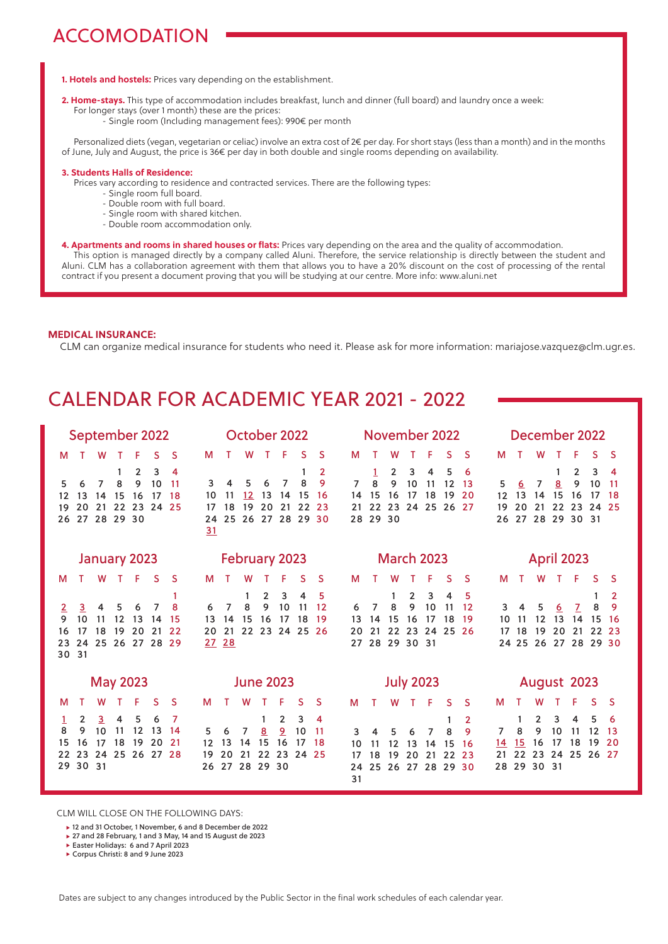# ACCOMODATION

**1. Hotels and hostels:** Prices vary depending on the establishment.

- **2. Home-stays.** This type of accommodation includes breakfast, lunch and dinner (full board) and laundry once a week: For longer stays (over 1 month) these are the prices:
	- Single room (Including management fees): 990€ per month

 Personalized diets (vegan, vegetarian or celiac) involve an extra cost of 2€ per day. For short stays (less than a month) and in the months of June, July and August, the price is 36€ per day in both double and single rooms depending on availability.

### **3. Students Halls of Residence:**

Prices vary according to residence and contracted services. There are the following types:

- Single room full board.
- Double room with full board.
- Single room with shared kitchen.
- Double room accommodation only.
- **4. Apartments and rooms in shared houses or flats:** Prices vary depending on the area and the quality of accommodation. This option is managed directly by a company called Aluni. Therefore, the service relationship is directly between the student and Aluni. CLM has a collaboration agreement with them that allows you to have a 20% discount on the cost of processing of the rental contract if you present a document proving that you will be studying at our centre. More info: www.aluni.net

#### **MEDICAL INSURANCE:**

CLM can organize medical insurance for students who need it. Please ask for more information: mariajose.vazquez@clm.ugr.es.

## CALENDAR FOR ACADEMIC YEAR 2021 - 2022

| September 2022                                                                                                                                                                               | October 2022                                                                                                                                                                     | November 2022                                                                                                                                                               | December 2022                                                                                                                                                                   |
|----------------------------------------------------------------------------------------------------------------------------------------------------------------------------------------------|----------------------------------------------------------------------------------------------------------------------------------------------------------------------------------|-----------------------------------------------------------------------------------------------------------------------------------------------------------------------------|---------------------------------------------------------------------------------------------------------------------------------------------------------------------------------|
| F<br>S<br>S<br>W<br>т<br>м                                                                                                                                                                   | F<br><sub>S</sub><br>S<br>М<br>W<br>T.                                                                                                                                           | F<br>S<br><b>S</b><br>M<br>W                                                                                                                                                | F<br>S.<br>W<br>S<br>м<br>т<br>т                                                                                                                                                |
| 3<br>$\overline{2}$<br>1<br>4<br>9<br>10<br>8<br>11<br>6<br>7<br>5<br>15<br>16<br>13<br>14<br>17<br>18<br>12<br>20<br>22 23<br>21<br>24<br>-25<br>19<br>27 28 29 30<br>26                    | 2<br>8<br>9<br>6<br>7<br>3<br>4<br>5<br>12 <sup>2</sup><br>13<br>14<br>-15<br>-16<br>10<br>11<br>18<br>19<br>20<br>21<br>22<br>23<br>17<br>25 26 27 28 29 30<br>24<br>31         | 3<br>5<br>2<br>4<br>1<br>6<br>8<br>9<br>10<br>$\overline{7}$<br>11<br>12<br>13<br>15<br>16<br>17<br>18<br>19<br>20<br>14<br>22<br>24 25 26 27<br>23<br>21<br>28 29 30       | 3<br>$\overline{2}$<br>4<br>1<br>9<br>5<br>8<br>10<br>7<br>11<br>6<br>15<br>13<br>16<br>17<br>12<br>14<br>18<br>20<br>22<br>23<br>21<br>24<br>-25<br>19<br>27 28 29 30 31<br>26 |
| <b>January 2023</b>                                                                                                                                                                          | <b>February 2023</b>                                                                                                                                                             | <b>March 2023</b>                                                                                                                                                           | <b>April 2023</b>                                                                                                                                                               |
| S<br>F<br>-S<br>w<br>т<br>M                                                                                                                                                                  | S<br><sub>S</sub><br>F<br>w<br>м                                                                                                                                                 | S<br>м<br>F<br><b>S</b><br>w                                                                                                                                                | F<br>м<br>T.<br>S.<br><sub>S</sub><br>т<br>w                                                                                                                                    |
| 1<br>8<br>4<br>7<br>3<br>5<br>6<br>$\overline{2}$<br>10<br>9<br>11<br>12<br>13<br>15<br>14<br>19<br>20<br>21<br>22<br>17<br>18<br>16<br>24 25 26 27 28 29<br>23<br>30 31                     | 3<br>$\overline{2}$<br>4<br>5<br>-1<br>9<br>8<br>10<br>11<br>12<br>7<br>6<br>15<br>16<br>17<br>18<br>13<br>19<br>14<br>21<br>22 23 24 25 26<br>20<br>27 28                       | $\overline{2}$<br>3<br>4<br>5<br>1<br>10<br>7<br>8<br>9<br>12<br>11<br>6<br>15<br>16<br>17<br>18<br>19<br>13<br>14<br>20<br>21<br>22<br>23<br>24<br>25 26<br>27 28 29 30 31 | 2<br>1<br>8<br>9<br>5<br>6<br>$\overline{7}$<br>3<br>4<br>15<br>12<br>13<br>14<br>10<br>-16<br>11<br>18<br>20<br>21<br>22<br>17<br>19<br>23<br>24 25 26 27 28 29 30             |
| <b>May 2023</b>                                                                                                                                                                              | <b>June 2023</b>                                                                                                                                                                 | <b>July 2023</b>                                                                                                                                                            | August 2023                                                                                                                                                                     |
| F<br>S<br><sub>S</sub><br>W<br>м                                                                                                                                                             | т<br>W<br>$\top$<br>F<br>S<br><sub>S</sub><br>м                                                                                                                                  | - F<br>W<br>$\mathsf{T}$<br><sub>S</sub><br>м<br>T<br><sub>S</sub>                                                                                                          | F<br>S<br>W<br>S<br>M                                                                                                                                                           |
| $\overline{2}$<br>$\overline{3}$<br>4<br>5<br>6<br>7<br>1<br>8<br>9<br>11<br>12<br>10<br>13<br>-14<br>18<br>19<br>20<br>21<br>16<br>15<br>17<br>25 26 27 28<br>23<br>22<br>24<br>30 31<br>29 | $\overline{2}$<br>3<br>4<br>$\overline{2}$<br>8<br>10<br>11<br>6<br>7<br>5<br>15<br>16<br>13<br>17<br>12<br>14<br>18<br>22<br>23<br>20<br>21<br>24 25<br>19<br>27 28 29 30<br>26 | $\mathbf{2}$<br>1<br>8<br>9<br>7<br>3<br>5<br>6<br>4<br>15<br>10<br>11<br>12<br>13<br>14<br>16<br>18<br>19<br>20<br>21<br>22<br>23<br>17<br>25 26 27 28 29 30<br>24<br>31   | 5<br>3<br>2<br>4<br>1<br>6<br>10<br>7<br>8<br>9<br>11<br>12<br>13<br>18<br>19<br>20<br>15<br>16<br>17<br><u>14</u><br>22<br>23<br>24<br>25 26 27<br>21<br>29 30 31<br>28        |

CLM WILL CLOSE ON THE FOLLOWING DAYS:

12 and 31 October, 1 November, 6 and 8 December de 2022

▶ 27 and 28 February, 1 and 3 May, 14 and 15 August de 2023

Easter Holidays: 6 and 7 April 2023

Corpus Christi: 8 and 9 June 2023

Dates are subject to any changes introduced by the Public Sector in the final work schedules of each calendar year.